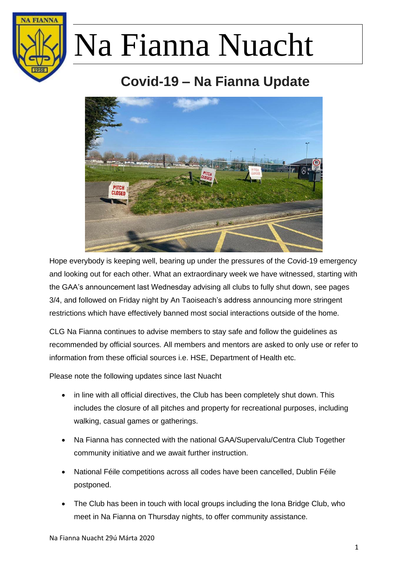

### **Covid-19 – Na Fianna Update**



Hope everybody is keeping well, bearing up under the pressures of the Covid-19 emergency and looking out for each other. What an extraordinary week we have witnessed, starting with the GAA's announcement last Wednesday advising all clubs to fully shut down, see pages 3/4, and followed on Friday night by An Taoiseach's address announcing more stringent restrictions which have effectively banned most social interactions outside of the home.

CLG Na Fianna continues to advise members to stay safe and follow the guidelines as recommended by official sources. All members and mentors are asked to only use or refer to information from these official sources i.e. HSE, Department of Health etc.

Please note the following updates since last Nuacht

- in line with all official directives, the Club has been completely shut down. This includes the closure of all pitches and property for recreational purposes, including walking, casual games or gatherings.
- Na Fianna has connected with the national GAA/Supervalu/Centra Club Together community initiative and we await further instruction.
- National Féile competitions across all codes have been cancelled, Dublin Féile postponed.
- The Club has been in touch with local groups including the Iona Bridge Club, who meet in Na Fianna on Thursday nights, to offer community assistance.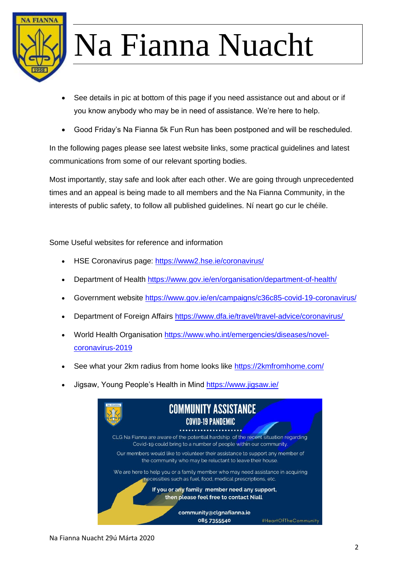

- See details in pic at bottom of this page if you need assistance out and about or if you know anybody who may be in need of assistance. We're here to help.
- Good Friday's Na Fianna 5k Fun Run has been postponed and will be rescheduled.

In the following pages please see latest website links, some practical guidelines and latest communications from some of our relevant sporting bodies.

Most importantly, stay safe and look after each other. We are going through unprecedented times and an appeal is being made to all members and the Na Fianna Community, in the interests of public safety, to follow all published guidelines. Ní neart go cur le chéile.

Some Useful websites for reference and information

- HSE Coronavirus page: <https://www2.hse.ie/coronavirus/>
- Department of Health [https://www.gov.ie/en/organisation/department-of-health/](https://theatreforum.cmail20.com/t/j-l-qldhjdt-thukpvn-k/)
- Government website<https://www.gov.ie/en/campaigns/c36c85-covid-19-coronavirus/>
- Department of Foreign Affairs [https://www.dfa.ie/travel/travel-advice/coronavirus/](https://theatreforum.cmail20.com/t/j-l-qldhjdt-thukpvn-u/)
- World Health Organisation [https://www.who.int/emergencies/diseases/novel](https://theatreforum.cmail20.com/t/j-l-qldhjdt-thukpvn-o/)[coronavirus-2019](https://theatreforum.cmail20.com/t/j-l-qldhjdt-thukpvn-o/)
- See what your 2km radius from home looks like<https://2kmfromhome.com/>
- Jigsaw, Young People's Health in Mind<https://www.jigsaw.ie/>

| <b>COMMUNITY ASSISTANCE</b><br><b>COVID-19 PANDEMIC</b>                                                                                                 |                     |
|---------------------------------------------------------------------------------------------------------------------------------------------------------|---------------------|
| CLG Na Fianna are aware of the potential hardship of the recent situation regarding<br>Covid-19 could bring to a number of people within our community. |                     |
| Our members would like to volunteer their assistance to support any member of<br>the community who may be reluctant to leave their house.               |                     |
| We are here to help you or a family member who may need assistance in acquiring<br>necessities such as fuel, food, medical prescriptions, etc.          |                     |
| If you or any family member need any support,<br>then please feel free to contact Niall                                                                 |                     |
| community@clgnafianna.ie<br>085 7355540                                                                                                                 | #HeartOfTheCommunit |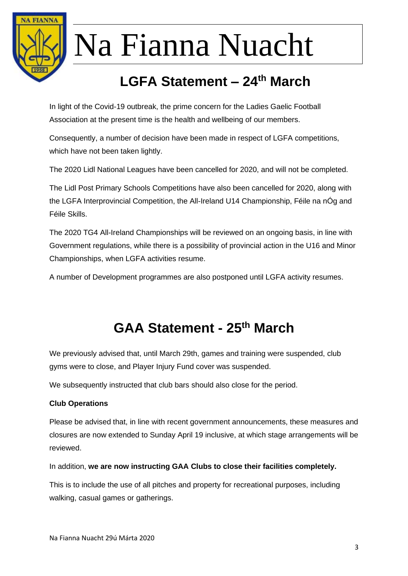

### **LGFA Statement – 24th March**

In light of the Covid-19 outbreak, the prime concern for the Ladies Gaelic Football Association at the present time is the health and wellbeing of our members.

Consequently, a number of decision have been made in respect of LGFA competitions, which have not been taken lightly.

The 2020 Lidl National Leagues have been cancelled for 2020, and will not be completed.

The Lidl Post Primary Schools Competitions have also been cancelled for 2020, along with the LGFA Interprovincial Competition, the All-Ireland U14 Championship, Féile na nÓg and Féile Skills.

The 2020 TG4 All-Ireland Championships will be reviewed on an ongoing basis, in line with Government regulations, while there is a possibility of provincial action in the U16 and Minor Championships, when LGFA activities resume.

A number of Development programmes are also postponed until LGFA activity resumes.

#### **GAA Statement - 25th March**

We previously advised that, until March 29th, games and training were suspended, club gyms were to close, and Player Injury Fund cover was suspended.

We subsequently instructed that club bars should also close for the period.

#### **Club Operations**

Please be advised that, in line with recent government announcements, these measures and closures are now extended to Sunday April 19 inclusive, at which stage arrangements will be reviewed.

In addition, **we are now instructing GAA Clubs to close their facilities completely.**

This is to include the use of all pitches and property for recreational purposes, including walking, casual games or gatherings.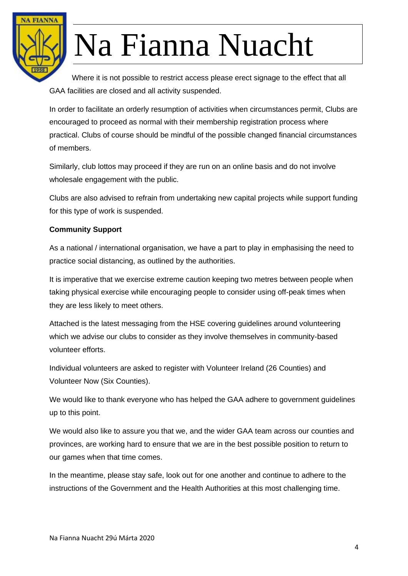

Where it is not possible to restrict access please erect signage to the effect that all GAA facilities are closed and all activity suspended.

In order to facilitate an orderly resumption of activities when circumstances permit, Clubs are encouraged to proceed as normal with their membership registration process where practical. Clubs of course should be mindful of the possible changed financial circumstances of members.

Similarly, club lottos may proceed if they are run on an online basis and do not involve wholesale engagement with the public.

Clubs are also advised to refrain from undertaking new capital projects while support funding for this type of work is suspended.

#### **Community Support**

As a national / international organisation, we have a part to play in emphasising the need to practice social distancing, as outlined by the authorities.

It is imperative that we exercise extreme caution keeping two metres between people when taking physical exercise while encouraging people to consider using off-peak times when they are less likely to meet others.

Attached is the latest messaging from the HSE covering guidelines around volunteering which we advise our clubs to consider as they involve themselves in community-based volunteer efforts.

Individual volunteers are asked to register with Volunteer Ireland (26 Counties) and Volunteer Now (Six Counties).

We would like to thank everyone who has helped the GAA adhere to government guidelines up to this point.

We would also like to assure you that we, and the wider GAA team across our counties and provinces, are working hard to ensure that we are in the best possible position to return to our games when that time comes.

In the meantime, please stay safe, look out for one another and continue to adhere to the instructions of the Government and the Health Authorities at this most challenging time.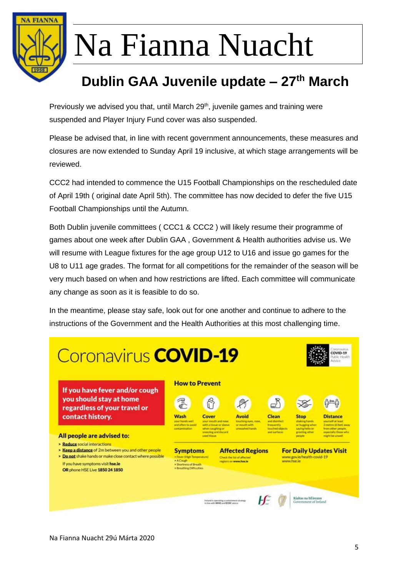

### **Dublin GAA Juvenile update – 27th March**

Previously we advised you that, until March 29<sup>th</sup>, juvenile games and training were suspended and Player Injury Fund cover was also suspended.

Please be advised that, in line with recent government announcements, these measures and closures are now extended to Sunday April 19 inclusive, at which stage arrangements will be reviewed.

CCC2 had intended to commence the U15 Football Championships on the rescheduled date of April 19th ( original date April 5th). The committee has now decided to defer the five U15 Football Championships until the Autumn.

Both Dublin juvenile committees ( CCC1 & CCC2 ) will likely resume their programme of games about one week after Dublin GAA , Government & Health authorities advise us. We will resume with League fixtures for the age group U12 to U16 and issue go games for the U8 to U11 age grades. The format for all competitions for the remainder of the season will be very much based on when and how restrictions are lifted. Each committee will communicate any change as soon as it is feasible to do so.

In the meantime, please stay safe, look out for one another and continue to adhere to the instructions of the Government and the Health Authorities at this most challenging time.

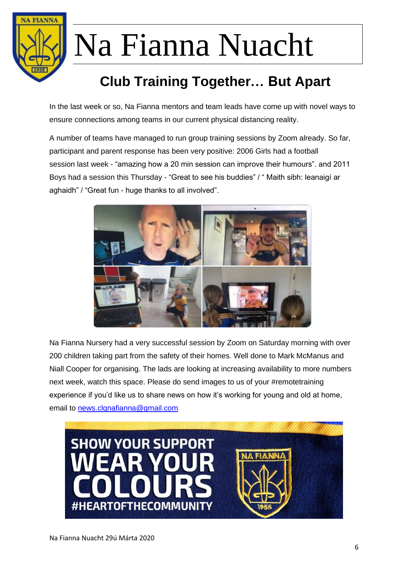

### **Club Training Together… But Apart**

In the last week or so, Na Fianna mentors and team leads have come up with novel ways to ensure connections among teams in our current physical distancing reality.

A number of teams have managed to run group training sessions by Zoom already. So far, participant and parent response has been very positive: 2006 Girls had a football session last week - "amazing how a 20 min session can improve their humours". and 2011 Boys had a session this Thursday - "Great to see his buddies" / " Maith sibh: leanaigí ar aghaidh" / "Great fun - huge thanks to all involved".



Na Fianna Nursery had a very successful session by Zoom on Saturday morning with over 200 children taking part from the safety of their homes. Well done to Mark McManus and Niall Cooper for organising. The lads are looking at increasing availability to more numbers next week, watch this space. Please do send images to us of your #remotetraining experience if you'd like us to share news on how it's working for young and old at home, email to [news.clgnafianna@gmail.com](mailto:news.clgnafianna@gmail.com)

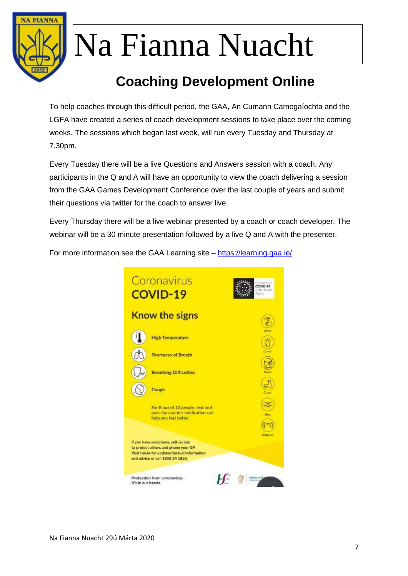

### **Coaching Development Online**

To help coaches through this difficult period, the GAA, An Cumann Camogaíochta and the LGFA have created a series of coach development sessions to take place over the coming weeks. The sessions which began last week, will run every Tuesday and Thursday at 7.30pm.

Every Tuesday there will be a live Questions and Answers session with a coach. Any participants in the Q and A will have an opportunity to view the coach delivering a session from the GAA Games Development Conference over the last couple of years and submit their questions via twitter for the coach to answer live.

Every Thursday there will be a live webinar presented by a coach or coach developer. The webinar will be a 30 minute presentation followed by a live Q and A with the presenter.

For more information see the GAA Learning site – <https://learning.gaa.ie/>

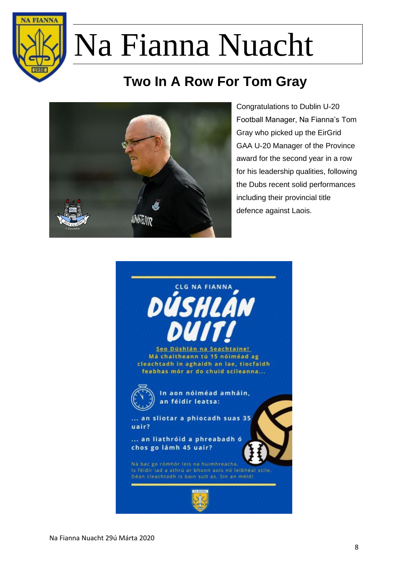

### **Two In A Row For Tom Gray**



Congratulations to Dublin U-20 Football Manager, Na Fianna's Tom Gray who picked up the EirGrid GAA U-20 Manager of the Province award for the second year in a row for his leadership qualities, following the Dubs recent solid performances including their provincial title defence against Laois.

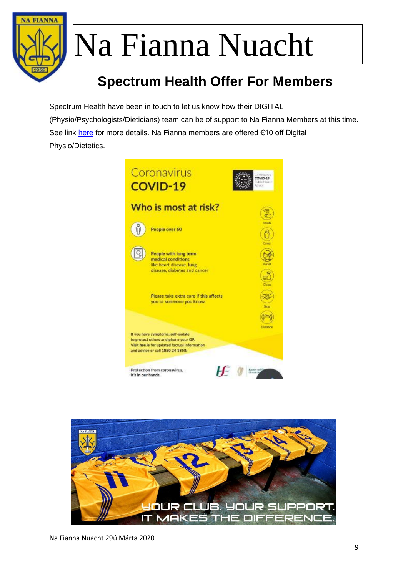

### **Spectrum Health Offer For Members**

Spectrum Health have been in touch to let us know how their DIGITAL (Physio/Psychologists/Dieticians) team can be of support to Na Fianna Members at this time. See link [here](https://www.spectrumhealth.ie/blog/2020/3/2/information-on-coronavirus-covid-19) for more details. Na Fianna members are offered €10 off Digital Physio/Dietetics.